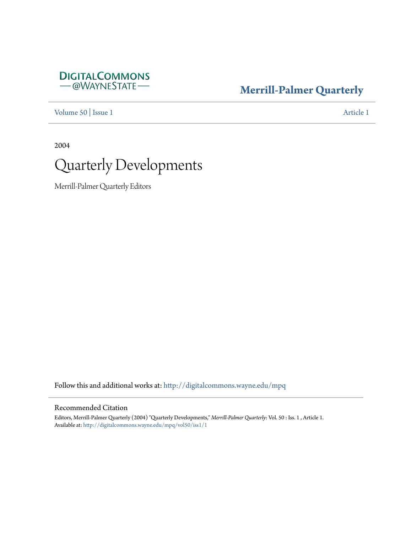# **DIGITALCOMMONS** — @WAYNESTATE-

# **[Merrill-Palmer Quarterly](http://digitalcommons.wayne.edu/mpq?utm_source=digitalcommons.wayne.edu%2Fmpq%2Fvol50%2Fiss1%2F1&utm_medium=PDF&utm_campaign=PDFCoverPages)**

[Volume 50](http://digitalcommons.wayne.edu/mpq/vol50?utm_source=digitalcommons.wayne.edu%2Fmpq%2Fvol50%2Fiss1%2F1&utm_medium=PDF&utm_campaign=PDFCoverPages) | [Issue 1](http://digitalcommons.wayne.edu/mpq/vol50/iss1?utm_source=digitalcommons.wayne.edu%2Fmpq%2Fvol50%2Fiss1%2F1&utm_medium=PDF&utm_campaign=PDFCoverPages) [Article 1](http://digitalcommons.wayne.edu/mpq/vol50/iss1/1?utm_source=digitalcommons.wayne.edu%2Fmpq%2Fvol50%2Fiss1%2F1&utm_medium=PDF&utm_campaign=PDFCoverPages)

2004



Merrill-Palmer Quarterly Editors

Follow this and additional works at: [http://digitalcommons.wayne.edu/mpq](http://digitalcommons.wayne.edu/mpq?utm_source=digitalcommons.wayne.edu%2Fmpq%2Fvol50%2Fiss1%2F1&utm_medium=PDF&utm_campaign=PDFCoverPages)

## Recommended Citation

Editors, Merrill-Palmer Quarterly (2004) "Quarterly Developments," *Merrill-Palmer Quarterly*: Vol. 50 : Iss. 1 , Article 1. Available at: [http://digitalcommons.wayne.edu/mpq/vol50/iss1/1](http://digitalcommons.wayne.edu/mpq/vol50/iss1/1?utm_source=digitalcommons.wayne.edu%2Fmpq%2Fvol50%2Fiss1%2F1&utm_medium=PDF&utm_campaign=PDFCoverPages)